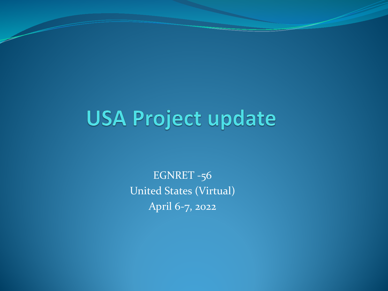# **USA Project update**

EGNRET -56 United States (Virtual) April 6-7, 2022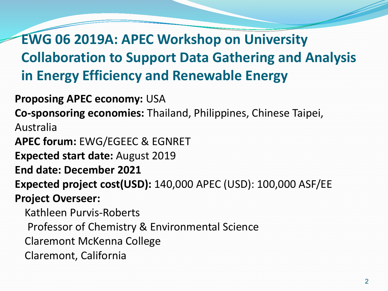**EWG 06 2019A: APEC Workshop on University Collaboration to Support Data Gathering and Analysis in Energy Efficiency and Renewable Energy**

**Proposing APEC economy:** USA

**Co-sponsoring economies:** Thailand, Philippines, Chinese Taipei,

Australia

**APEC forum:** EWG/EGEEC & EGNRET

**Expected start date:** August 2019

**End date: December 2021**

**Expected project cost(USD):** 140,000 APEC (USD): 100,000 ASF/EE

**Project Overseer:**

Kathleen Purvis-Roberts

Professor of Chemistry & Environmental Science

Claremont McKenna College

Claremont, California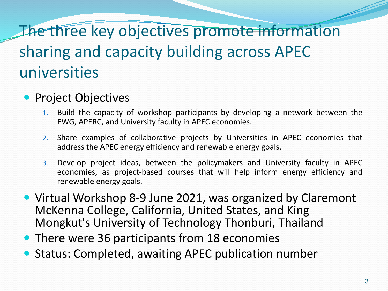## The three key objectives promote information sharing and capacity building across APEC universities

### • Project Objectives

- 1. Build the capacity of workshop participants by developing a network between the EWG, APERC, and University faculty in APEC economies.
- 2. Share examples of collaborative projects by Universities in APEC economies that address the APEC energy efficiency and renewable energy goals.
- 3. Develop project ideas, between the policymakers and University faculty in APEC economies, as project-based courses that will help inform energy efficiency and renewable energy goals.
- Virtual Workshop 8-9 June 2021, was organized by Claremont McKenna College, California, United States, and King Mongkut's University of Technology Thonburi, Thailand
- There were 36 participants from 18 economies
- Status: Completed, awaiting APEC publication number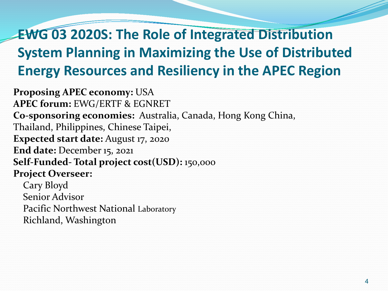## **EWG 03 2020S: The Role of Integrated Distribution System Planning in Maximizing the Use of Distributed Energy Resources and Resiliency in the APEC Region**

**Proposing APEC economy:** USA **APEC forum:** EWG/ERTF & EGNRET **Co-sponsoring economies:** Australia, Canada, Hong Kong China, Thailand, Philippines, Chinese Taipei, **Expected start date:** August 17, 2020 **End date:** December 15, 2021 **Self-Funded- Total project cost(USD):** 150,ooo **Project Overseer:**

Cary Bloyd Senior Advisor Pacific Northwest National Laboratory Richland, Washington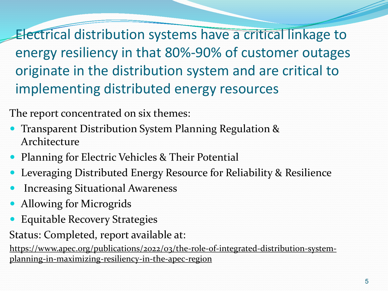Electrical distribution systems have a critical linkage to energy resiliency in that 80%-90% of customer outages originate in the distribution system and are critical to implementing distributed energy resources

The report concentrated on six themes:

- Transparent Distribution System Planning Regulation & Architecture
- Planning for Electric Vehicles & Their Potential
- Leveraging Distributed Energy Resource for Reliability & Resilience
- Increasing Situational Awareness
- Allowing for Microgrids
- Equitable Recovery Strategies

Status: Completed, report available at:

[https://www.apec.org/publications/2022/03/the-role-of-integrated-distribution-system](https://www.apec.org/publications/2022/03/the-role-of-integrated-distribution-system-planning-in-maximizing-resiliency-in-the-apec-region)planning-in-maximizing-resiliency-in-the-apec-region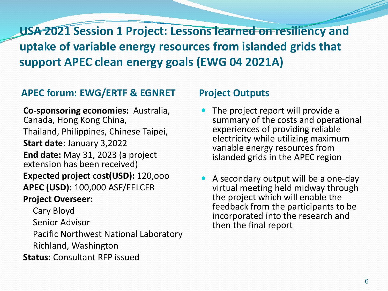**USA 2021 Session 1 Project: Lessons learned on resiliency and uptake of variable energy resources from islanded grids that support APEC clean energy goals (EWG 04 2021A)**

### **APEC forum: EWG/ERTF & EGNRET Project Outputs**

**Co-sponsoring economies:** Australia, Canada, Hong Kong China, Thailand, Philippines, Chinese Taipei, **Start date:** January 3,2022 **End date:** May 31, 2023 (a project extension has been received) **Expected project cost(USD):** 120,ooo **APEC (USD):** 100,000 ASF/EELCER **Project Overseer:**

Cary Bloyd

Senior Advisor

Pacific Northwest National Laboratory Richland, Washington

**Status:** Consultant RFP issued

- The project report will provide a summary of the costs and operational experiences of providing reliable electricity while utilizing maximum variable energy resources from islanded grids in the APEC region
- A secondary output will be a one-day virtual meeting held midway through the project which will enable the feedback from the participants to be incorporated into the research and then the final report